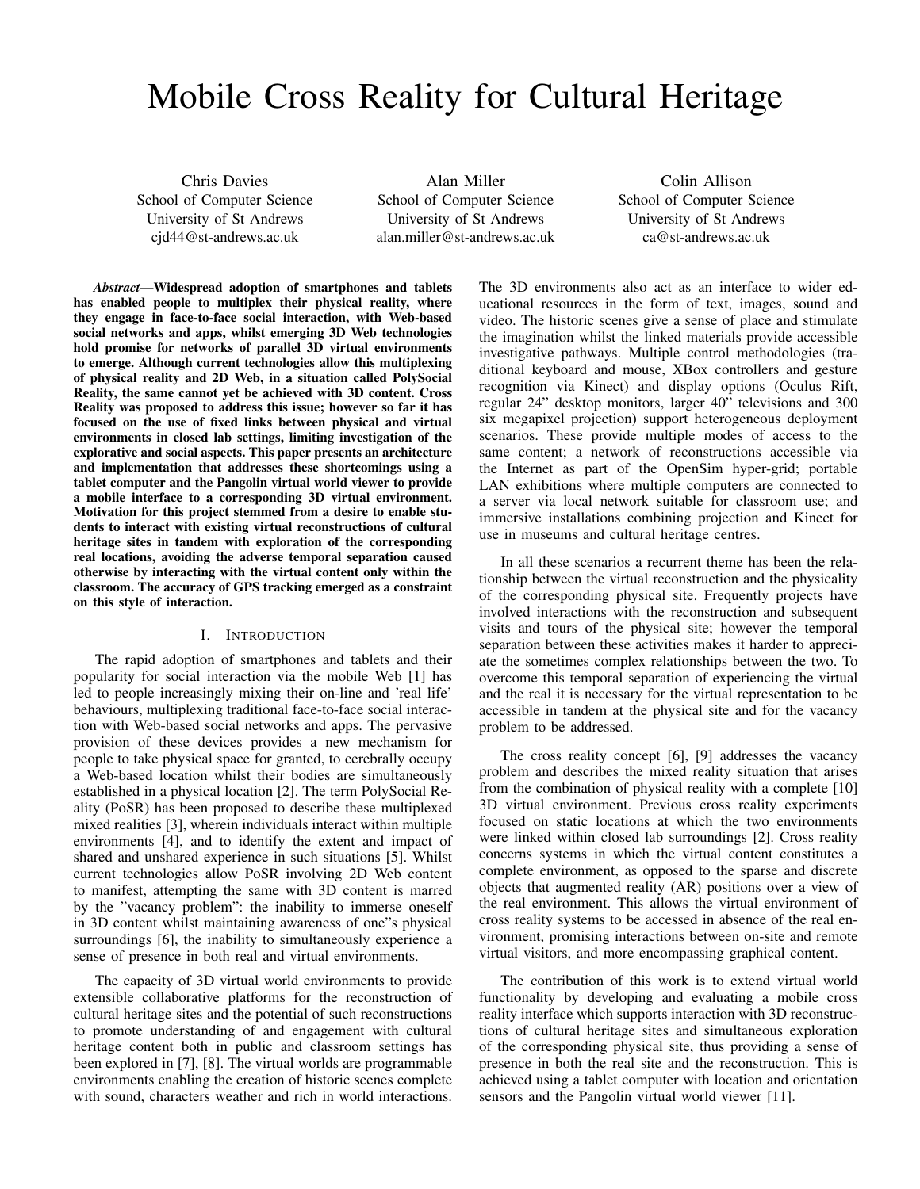# Mobile Cross Reality for Cultural Heritage

Chris Davies School of Computer Science University of St Andrews cjd44@st-andrews.ac.uk

Alan Miller School of Computer Science University of St Andrews alan.miller@st-andrews.ac.uk

Colin Allison School of Computer Science University of St Andrews ca@st-andrews.ac.uk

*Abstract*—Widespread adoption of smartphones and tablets has enabled people to multiplex their physical reality, where they engage in face-to-face social interaction, with Web-based social networks and apps, whilst emerging 3D Web technologies hold promise for networks of parallel 3D virtual environments to emerge. Although current technologies allow this multiplexing of physical reality and 2D Web, in a situation called PolySocial Reality, the same cannot yet be achieved with 3D content. Cross Reality was proposed to address this issue; however so far it has focused on the use of fixed links between physical and virtual environments in closed lab settings, limiting investigation of the explorative and social aspects. This paper presents an architecture and implementation that addresses these shortcomings using a tablet computer and the Pangolin virtual world viewer to provide a mobile interface to a corresponding 3D virtual environment. Motivation for this project stemmed from a desire to enable students to interact with existing virtual reconstructions of cultural heritage sites in tandem with exploration of the corresponding real locations, avoiding the adverse temporal separation caused otherwise by interacting with the virtual content only within the classroom. The accuracy of GPS tracking emerged as a constraint on this style of interaction.

## I. INTRODUCTION

The rapid adoption of smartphones and tablets and their popularity for social interaction via the mobile Web [1] has led to people increasingly mixing their on-line and 'real life' behaviours, multiplexing traditional face-to-face social interaction with Web-based social networks and apps. The pervasive provision of these devices provides a new mechanism for people to take physical space for granted, to cerebrally occupy a Web-based location whilst their bodies are simultaneously established in a physical location [2]. The term PolySocial Reality (PoSR) has been proposed to describe these multiplexed mixed realities [3], wherein individuals interact within multiple environments [4], and to identify the extent and impact of shared and unshared experience in such situations [5]. Whilst current technologies allow PoSR involving 2D Web content to manifest, attempting the same with 3D content is marred by the "vacancy problem": the inability to immerse oneself in 3D content whilst maintaining awareness of one"s physical surroundings [6], the inability to simultaneously experience a sense of presence in both real and virtual environments.

The capacity of 3D virtual world environments to provide extensible collaborative platforms for the reconstruction of cultural heritage sites and the potential of such reconstructions to promote understanding of and engagement with cultural heritage content both in public and classroom settings has been explored in [7], [8]. The virtual worlds are programmable environments enabling the creation of historic scenes complete with sound, characters weather and rich in world interactions.

The 3D environments also act as an interface to wider educational resources in the form of text, images, sound and video. The historic scenes give a sense of place and stimulate the imagination whilst the linked materials provide accessible investigative pathways. Multiple control methodologies (traditional keyboard and mouse, XBox controllers and gesture recognition via Kinect) and display options (Oculus Rift, regular 24" desktop monitors, larger 40" televisions and 300 six megapixel projection) support heterogeneous deployment scenarios. These provide multiple modes of access to the same content; a network of reconstructions accessible via the Internet as part of the OpenSim hyper-grid; portable LAN exhibitions where multiple computers are connected to a server via local network suitable for classroom use; and immersive installations combining projection and Kinect for use in museums and cultural heritage centres.

In all these scenarios a recurrent theme has been the relationship between the virtual reconstruction and the physicality of the corresponding physical site. Frequently projects have involved interactions with the reconstruction and subsequent visits and tours of the physical site; however the temporal separation between these activities makes it harder to appreciate the sometimes complex relationships between the two. To overcome this temporal separation of experiencing the virtual and the real it is necessary for the virtual representation to be accessible in tandem at the physical site and for the vacancy problem to be addressed.

The cross reality concept [6], [9] addresses the vacancy problem and describes the mixed reality situation that arises from the combination of physical reality with a complete [10] 3D virtual environment. Previous cross reality experiments focused on static locations at which the two environments were linked within closed lab surroundings [2]. Cross reality concerns systems in which the virtual content constitutes a complete environment, as opposed to the sparse and discrete objects that augmented reality (AR) positions over a view of the real environment. This allows the virtual environment of cross reality systems to be accessed in absence of the real environment, promising interactions between on-site and remote virtual visitors, and more encompassing graphical content.

The contribution of this work is to extend virtual world functionality by developing and evaluating a mobile cross reality interface which supports interaction with 3D reconstructions of cultural heritage sites and simultaneous exploration of the corresponding physical site, thus providing a sense of presence in both the real site and the reconstruction. This is achieved using a tablet computer with location and orientation sensors and the Pangolin virtual world viewer [11].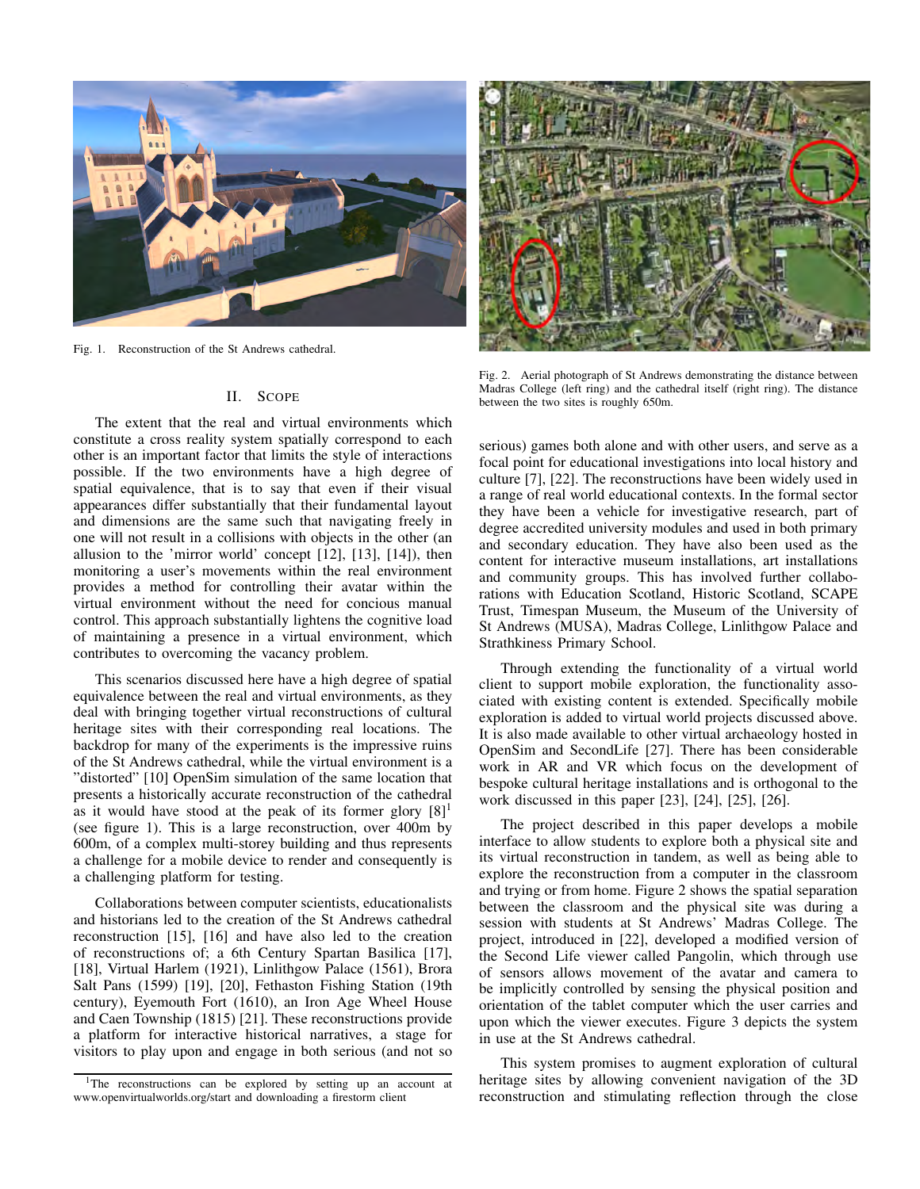

Fig. 1. Reconstruction of the St Andrews cathedral.

## II. SCOPE

The extent that the real and virtual environments which constitute a cross reality system spatially correspond to each other is an important factor that limits the style of interactions possible. If the two environments have a high degree of spatial equivalence, that is to say that even if their visual appearances differ substantially that their fundamental layout and dimensions are the same such that navigating freely in one will not result in a collisions with objects in the other (an allusion to the 'mirror world' concept [12], [13], [14]), then monitoring a user's movements within the real environment provides a method for controlling their avatar within the virtual environment without the need for concious manual control. This approach substantially lightens the cognitive load of maintaining a presence in a virtual environment, which contributes to overcoming the vacancy problem.

This scenarios discussed here have a high degree of spatial equivalence between the real and virtual environments, as they deal with bringing together virtual reconstructions of cultural heritage sites with their corresponding real locations. The backdrop for many of the experiments is the impressive ruins of the St Andrews cathedral, while the virtual environment is a "distorted" [10] OpenSim simulation of the same location that presents a historically accurate reconstruction of the cathedral as it would have stood at the peak of its former glory  $[8]$ <sup>1</sup> (see figure 1). This is a large reconstruction, over 400m by 600m, of a complex multi-storey building and thus represents a challenge for a mobile device to render and consequently is a challenging platform for testing.

Collaborations between computer scientists, educationalists and historians led to the creation of the St Andrews cathedral reconstruction [15], [16] and have also led to the creation of reconstructions of; a 6th Century Spartan Basilica [17], [18], Virtual Harlem (1921), Linlithgow Palace (1561), Brora Salt Pans (1599) [19], [20], Fethaston Fishing Station (19th century), Eyemouth Fort (1610), an Iron Age Wheel House and Caen Township (1815) [21]. These reconstructions provide a platform for interactive historical narratives, a stage for visitors to play upon and engage in both serious (and not so



Fig. 2. Aerial photograph of St Andrews demonstrating the distance between Madras College (left ring) and the cathedral itself (right ring). The distance between the two sites is roughly 650m.

serious) games both alone and with other users, and serve as a focal point for educational investigations into local history and culture [7], [22]. The reconstructions have been widely used in a range of real world educational contexts. In the formal sector they have been a vehicle for investigative research, part of degree accredited university modules and used in both primary and secondary education. They have also been used as the content for interactive museum installations, art installations and community groups. This has involved further collaborations with Education Scotland, Historic Scotland, SCAPE Trust, Timespan Museum, the Museum of the University of St Andrews (MUSA), Madras College, Linlithgow Palace and Strathkiness Primary School.

Through extending the functionality of a virtual world client to support mobile exploration, the functionality associated with existing content is extended. Specifically mobile exploration is added to virtual world projects discussed above. It is also made available to other virtual archaeology hosted in OpenSim and SecondLife [27]. There has been considerable work in AR and VR which focus on the development of bespoke cultural heritage installations and is orthogonal to the work discussed in this paper [23], [24], [25], [26].

The project described in this paper develops a mobile interface to allow students to explore both a physical site and its virtual reconstruction in tandem, as well as being able to explore the reconstruction from a computer in the classroom and trying or from home. Figure 2 shows the spatial separation between the classroom and the physical site was during a session with students at St Andrews' Madras College. The project, introduced in [22], developed a modified version of the Second Life viewer called Pangolin, which through use of sensors allows movement of the avatar and camera to be implicitly controlled by sensing the physical position and orientation of the tablet computer which the user carries and upon which the viewer executes. Figure 3 depicts the system in use at the St Andrews cathedral.

This system promises to augment exploration of cultural heritage sites by allowing convenient navigation of the 3D reconstruction and stimulating reflection through the close

<sup>&</sup>lt;sup>1</sup>The reconstructions can be explored by setting up an account at www.openvirtualworlds.org/start and downloading a firestorm client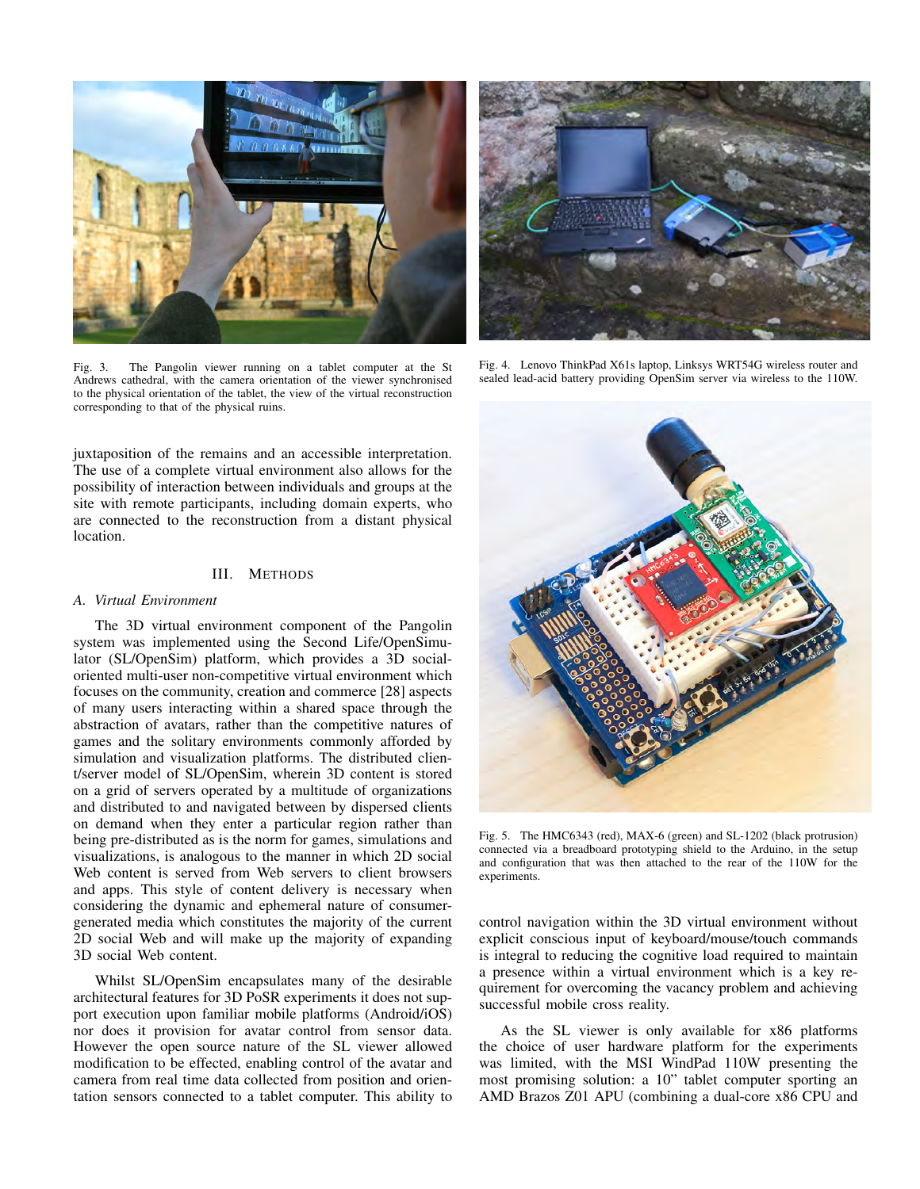

Fig. 3. The Pangolin viewer running on a tablet computer at the St Andrews cathedral, with the camera orientation of the viewer synchronised to the physical orientation of the tablet, the view of the virtual reconstruction corresponding to that of the physical ruins.

juxtaposition of the remains and an accessible interpretation. The use of a complete virtual environment also allows for the possibility of interaction between individuals and groups at the site with remote participants, including domain experts, who are connected to the reconstruction from a distant physical location.

#### III. METHODS

#### *A. Virtual Environment*

The 3D virtual environment component of the Pangolin system was implemented using the Second Life/OpenSimulator (SL/OpenSim) platform, which provides a 3D socialoriented multi-user non-competitive virtual environment which focuses on the community, creation and commerce [28] aspects of many users interacting within a shared space through the abstraction of avatars, rather than the competitive natures of games and the solitary environments commonly afforded by simulation and visualization platforms. The distributed client/server model of SL/OpenSim, wherein 3D content is stored on a grid of servers operated by a multitude of organizations and distributed to and navigated between by dispersed clients on demand when they enter a particular region rather than being pre-distributed as is the norm for games, simulations and visualizations, is analogous to the manner in which 2D social Web content is served from Web servers to client browsers and apps. This style of content delivery is necessary when considering the dynamic and ephemeral nature of consumergenerated media which constitutes the majority of the current 2D social Web and will make up the majority of expanding 3D social Web content.

Whilst SL/OpenSim encapsulates many of the desirable architectural features for 3D PoSR experiments it does not support execution upon familiar mobile platforms (Android/iOS) nor does it provision for avatar control from sensor data. However the open source nature of the SL viewer allowed modification to be effected, enabling control of the avatar and camera from real time data collected from position and orientation sensors connected to a tablet computer. This ability to



Fig. 4. Lenovo ThinkPad X61s laptop, Linksys WRT54G wireless router and sealed lead-acid battery providing OpenSim server via wireless to the 110W.



Fig. 5. The HMC6343 (red), MAX-6 (green) and SL-1202 (black protrusion) connected via a breadboard prototyping shield to the Arduino, in the setup and configuration that was then attached to the rear of the 110W for the experiments.

control navigation within the 3D virtual environment without explicit conscious input of keyboard/mouse/touch commands is integral to reducing the cognitive load required to maintain a presence within a virtual environment which is a key requirement for overcoming the vacancy problem and achieving successful mobile cross reality.

As the SL viewer is only available for x86 platforms the choice of user hardware platform for the experiments was limited, with the MSI WindPad 110W presenting the most promising solution: a 10" tablet computer sporting an AMD Brazos Z01 APU (combining a dual-core x86 CPU and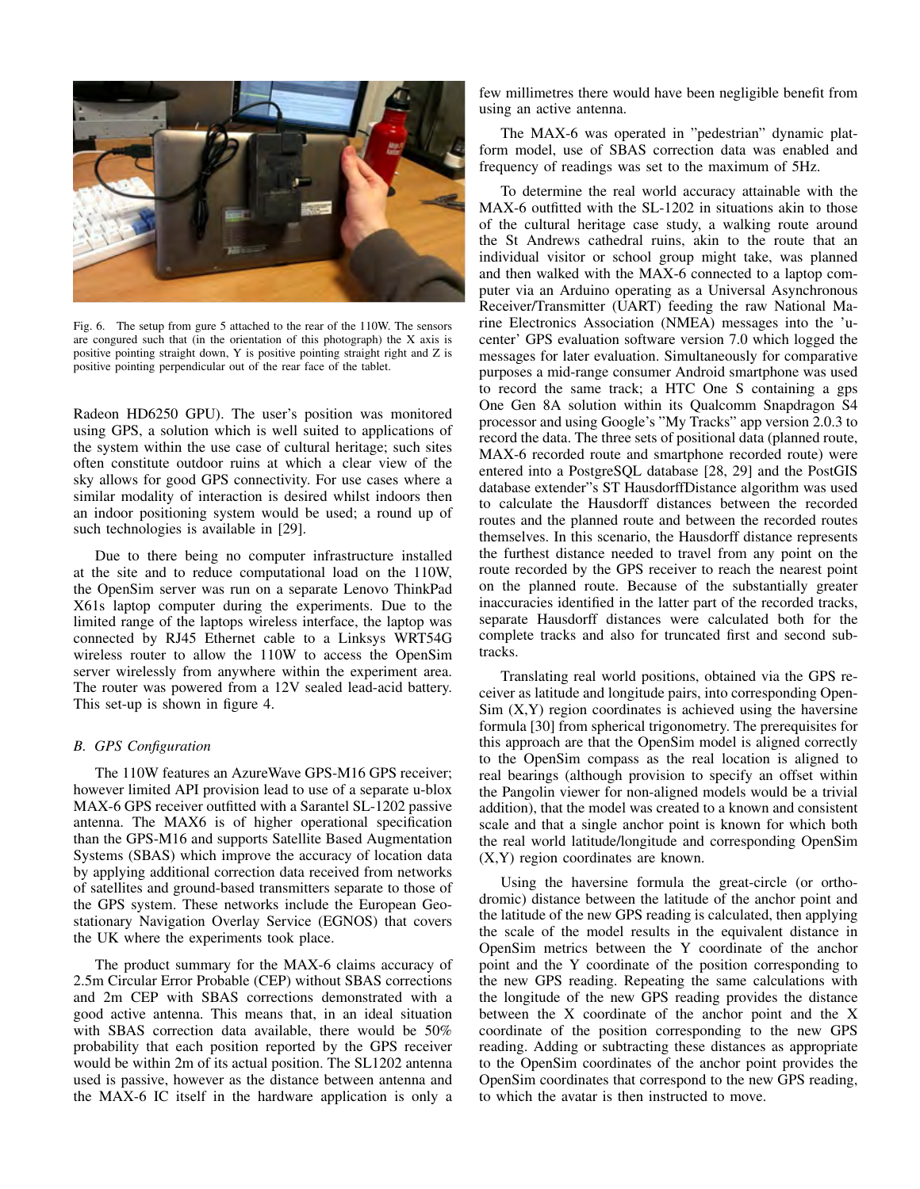

Fig. 6. The setup from gure 5 attached to the rear of the 110W. The sensors are congured such that (in the orientation of this photograph) the X axis is positive pointing straight down, Y is positive pointing straight right and Z is positive pointing perpendicular out of the rear face of the tablet.

Radeon HD6250 GPU). The user's position was monitored using GPS, a solution which is well suited to applications of the system within the use case of cultural heritage; such sites often constitute outdoor ruins at which a clear view of the sky allows for good GPS connectivity. For use cases where a similar modality of interaction is desired whilst indoors then an indoor positioning system would be used; a round up of such technologies is available in [29].

Due to there being no computer infrastructure installed at the site and to reduce computational load on the 110W, the OpenSim server was run on a separate Lenovo ThinkPad X61s laptop computer during the experiments. Due to the limited range of the laptops wireless interface, the laptop was connected by RJ45 Ethernet cable to a Linksys WRT54G wireless router to allow the 110W to access the OpenSim server wirelessly from anywhere within the experiment area. The router was powered from a 12V sealed lead-acid battery. This set-up is shown in figure 4.

## *B. GPS Configuration*

The 110W features an AzureWave GPS-M16 GPS receiver; however limited API provision lead to use of a separate u-blox MAX-6 GPS receiver outfitted with a Sarantel SL-1202 passive antenna. The MAX6 is of higher operational specification than the GPS-M16 and supports Satellite Based Augmentation Systems (SBAS) which improve the accuracy of location data by applying additional correction data received from networks of satellites and ground-based transmitters separate to those of the GPS system. These networks include the European Geostationary Navigation Overlay Service (EGNOS) that covers the UK where the experiments took place.

The product summary for the MAX-6 claims accuracy of 2.5m Circular Error Probable (CEP) without SBAS corrections and 2m CEP with SBAS corrections demonstrated with a good active antenna. This means that, in an ideal situation with SBAS correction data available, there would be 50% probability that each position reported by the GPS receiver would be within 2m of its actual position. The SL1202 antenna used is passive, however as the distance between antenna and the MAX-6 IC itself in the hardware application is only a few millimetres there would have been negligible benefit from using an active antenna.

The MAX-6 was operated in "pedestrian" dynamic platform model, use of SBAS correction data was enabled and frequency of readings was set to the maximum of 5Hz.

To determine the real world accuracy attainable with the MAX-6 outfitted with the SL-1202 in situations akin to those of the cultural heritage case study, a walking route around the St Andrews cathedral ruins, akin to the route that an individual visitor or school group might take, was planned and then walked with the MAX-6 connected to a laptop computer via an Arduino operating as a Universal Asynchronous Receiver/Transmitter (UART) feeding the raw National Marine Electronics Association (NMEA) messages into the 'ucenter' GPS evaluation software version 7.0 which logged the messages for later evaluation. Simultaneously for comparative purposes a mid-range consumer Android smartphone was used to record the same track; a HTC One S containing a gps One Gen 8A solution within its Qualcomm Snapdragon S4 processor and using Google's "My Tracks" app version 2.0.3 to record the data. The three sets of positional data (planned route, MAX-6 recorded route and smartphone recorded route) were entered into a PostgreSQL database [28, 29] and the PostGIS database extender"s ST HausdorffDistance algorithm was used to calculate the Hausdorff distances between the recorded routes and the planned route and between the recorded routes themselves. In this scenario, the Hausdorff distance represents the furthest distance needed to travel from any point on the route recorded by the GPS receiver to reach the nearest point on the planned route. Because of the substantially greater inaccuracies identified in the latter part of the recorded tracks, separate Hausdorff distances were calculated both for the complete tracks and also for truncated first and second subtracks.

Translating real world positions, obtained via the GPS receiver as latitude and longitude pairs, into corresponding Open- $Sim(X, Y)$  region coordinates is achieved using the haversine formula [30] from spherical trigonometry. The prerequisites for this approach are that the OpenSim model is aligned correctly to the OpenSim compass as the real location is aligned to real bearings (although provision to specify an offset within the Pangolin viewer for non-aligned models would be a trivial addition), that the model was created to a known and consistent scale and that a single anchor point is known for which both the real world latitude/longitude and corresponding OpenSim (X,Y) region coordinates are known.

Using the haversine formula the great-circle (or orthodromic) distance between the latitude of the anchor point and the latitude of the new GPS reading is calculated, then applying the scale of the model results in the equivalent distance in OpenSim metrics between the Y coordinate of the anchor point and the Y coordinate of the position corresponding to the new GPS reading. Repeating the same calculations with the longitude of the new GPS reading provides the distance between the X coordinate of the anchor point and the X coordinate of the position corresponding to the new GPS reading. Adding or subtracting these distances as appropriate to the OpenSim coordinates of the anchor point provides the OpenSim coordinates that correspond to the new GPS reading, to which the avatar is then instructed to move.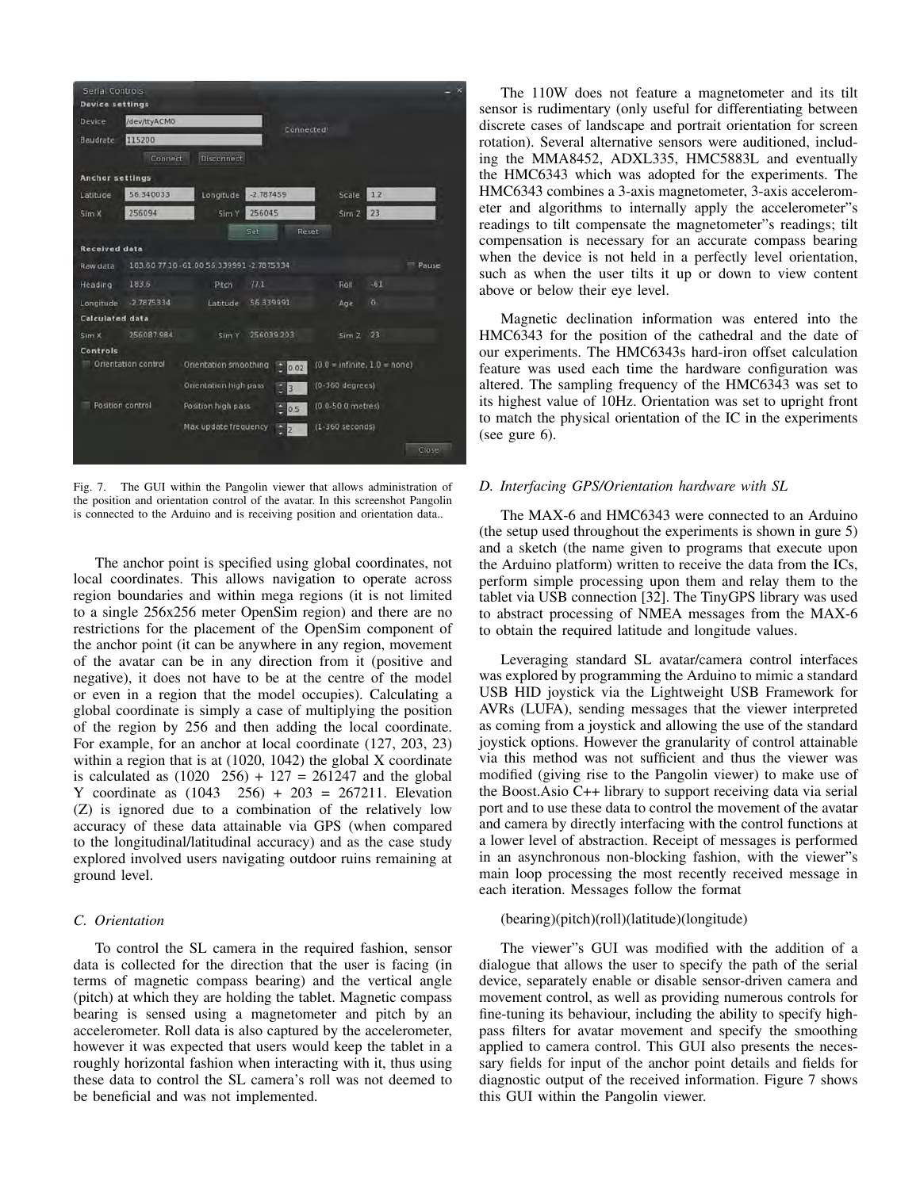

Fig. 7. The GUI within the Pangolin viewer that allows administration of the position and orientation control of the avatar. In this screenshot Pangolin is connected to the Arduino and is receiving position and orientation data..

The anchor point is specified using global coordinates, not local coordinates. This allows navigation to operate across region boundaries and within mega regions (it is not limited to a single 256x256 meter OpenSim region) and there are no restrictions for the placement of the OpenSim component of the anchor point (it can be anywhere in any region, movement of the avatar can be in any direction from it (positive and negative), it does not have to be at the centre of the model or even in a region that the model occupies). Calculating a global coordinate is simply a case of multiplying the position of the region by 256 and then adding the local coordinate. For example, for an anchor at local coordinate (127, 203, 23) within a region that is at (1020, 1042) the global X coordinate is calculated as  $(1020 \t 256) + 127 = 261247$  and the global Y coordinate as  $(1043 \quad 256) + 203 = 267211$ . Elevation (Z) is ignored due to a combination of the relatively low accuracy of these data attainable via GPS (when compared to the longitudinal/latitudinal accuracy) and as the case study explored involved users navigating outdoor ruins remaining at ground level.

## *C. Orientation*

To control the SL camera in the required fashion, sensor data is collected for the direction that the user is facing (in terms of magnetic compass bearing) and the vertical angle (pitch) at which they are holding the tablet. Magnetic compass bearing is sensed using a magnetometer and pitch by an accelerometer. Roll data is also captured by the accelerometer, however it was expected that users would keep the tablet in a roughly horizontal fashion when interacting with it, thus using these data to control the SL camera's roll was not deemed to be beneficial and was not implemented.

The 110W does not feature a magnetometer and its tilt sensor is rudimentary (only useful for differentiating between discrete cases of landscape and portrait orientation for screen rotation). Several alternative sensors were auditioned, including the MMA8452, ADXL335, HMC5883L and eventually the HMC6343 which was adopted for the experiments. The HMC6343 combines a 3-axis magnetometer, 3-axis accelerometer and algorithms to internally apply the accelerometer"s readings to tilt compensate the magnetometer"s readings; tilt compensation is necessary for an accurate compass bearing when the device is not held in a perfectly level orientation, such as when the user tilts it up or down to view content above or below their eye level.

Magnetic declination information was entered into the HMC6343 for the position of the cathedral and the date of our experiments. The HMC6343s hard-iron offset calculation feature was used each time the hardware configuration was altered. The sampling frequency of the HMC6343 was set to its highest value of 10Hz. Orientation was set to upright front to match the physical orientation of the IC in the experiments (see gure 6).

#### *D. Interfacing GPS/Orientation hardware with SL*

The MAX-6 and HMC6343 were connected to an Arduino (the setup used throughout the experiments is shown in gure 5) and a sketch (the name given to programs that execute upon the Arduino platform) written to receive the data from the ICs, perform simple processing upon them and relay them to the tablet via USB connection [32]. The TinyGPS library was used to abstract processing of NMEA messages from the MAX-6 to obtain the required latitude and longitude values.

Leveraging standard SL avatar/camera control interfaces was explored by programming the Arduino to mimic a standard USB HID joystick via the Lightweight USB Framework for AVRs (LUFA), sending messages that the viewer interpreted as coming from a joystick and allowing the use of the standard joystick options. However the granularity of control attainable via this method was not sufficient and thus the viewer was modified (giving rise to the Pangolin viewer) to make use of the Boost.Asio C++ library to support receiving data via serial port and to use these data to control the movement of the avatar and camera by directly interfacing with the control functions at a lower level of abstraction. Receipt of messages is performed in an asynchronous non-blocking fashion, with the viewer"s main loop processing the most recently received message in each iteration. Messages follow the format

#### (bearing)(pitch)(roll)(latitude)(longitude)

The viewer"s GUI was modified with the addition of a dialogue that allows the user to specify the path of the serial device, separately enable or disable sensor-driven camera and movement control, as well as providing numerous controls for fine-tuning its behaviour, including the ability to specify highpass filters for avatar movement and specify the smoothing applied to camera control. This GUI also presents the necessary fields for input of the anchor point details and fields for diagnostic output of the received information. Figure 7 shows this GUI within the Pangolin viewer.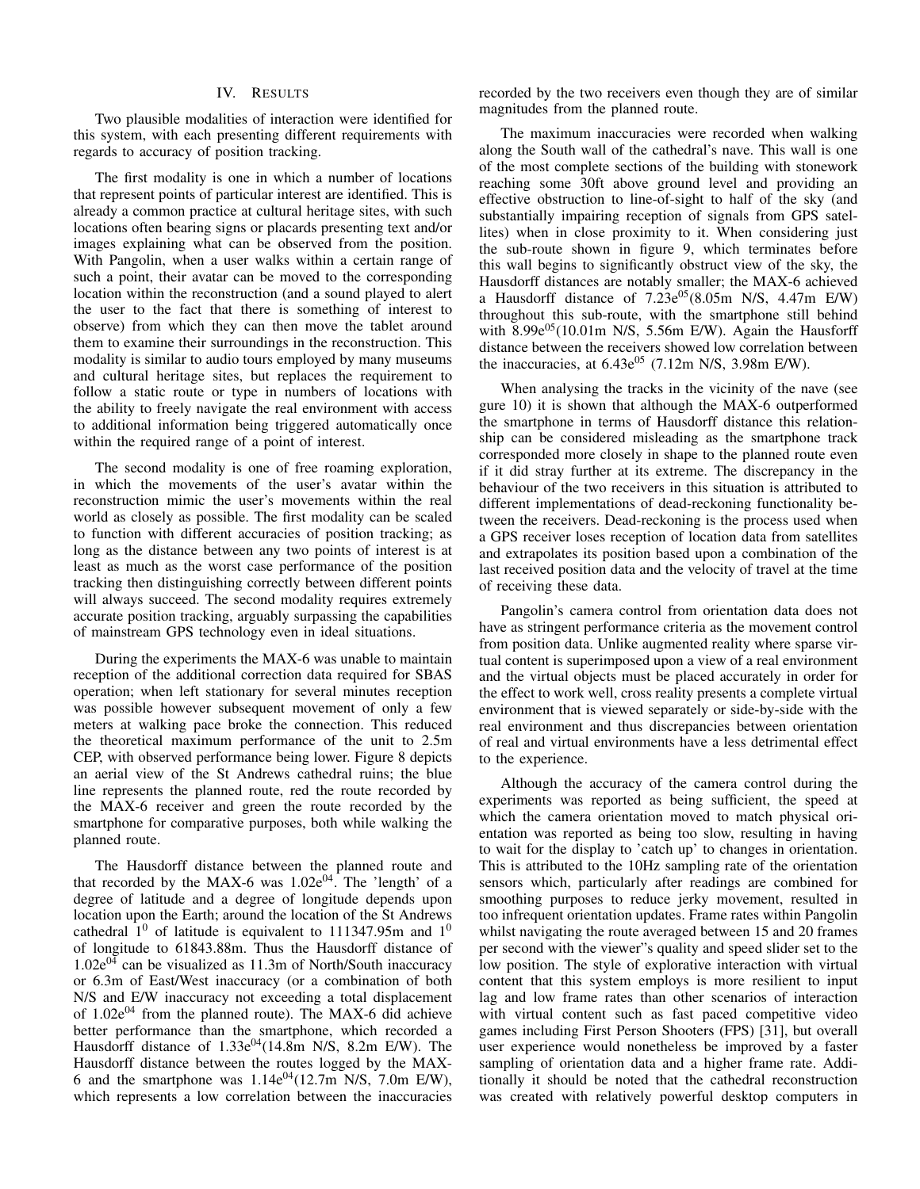## IV. RESULTS

Two plausible modalities of interaction were identified for this system, with each presenting different requirements with regards to accuracy of position tracking.

The first modality is one in which a number of locations that represent points of particular interest are identified. This is already a common practice at cultural heritage sites, with such locations often bearing signs or placards presenting text and/or images explaining what can be observed from the position. With Pangolin, when a user walks within a certain range of such a point, their avatar can be moved to the corresponding location within the reconstruction (and a sound played to alert the user to the fact that there is something of interest to observe) from which they can then move the tablet around them to examine their surroundings in the reconstruction. This modality is similar to audio tours employed by many museums and cultural heritage sites, but replaces the requirement to follow a static route or type in numbers of locations with the ability to freely navigate the real environment with access to additional information being triggered automatically once within the required range of a point of interest.

The second modality is one of free roaming exploration, in which the movements of the user's avatar within the reconstruction mimic the user's movements within the real world as closely as possible. The first modality can be scaled to function with different accuracies of position tracking; as long as the distance between any two points of interest is at least as much as the worst case performance of the position tracking then distinguishing correctly between different points will always succeed. The second modality requires extremely accurate position tracking, arguably surpassing the capabilities of mainstream GPS technology even in ideal situations.

During the experiments the MAX-6 was unable to maintain reception of the additional correction data required for SBAS operation; when left stationary for several minutes reception was possible however subsequent movement of only a few meters at walking pace broke the connection. This reduced the theoretical maximum performance of the unit to 2.5m CEP, with observed performance being lower. Figure 8 depicts an aerial view of the St Andrews cathedral ruins; the blue line represents the planned route, red the route recorded by the MAX-6 receiver and green the route recorded by the smartphone for comparative purposes, both while walking the planned route.

The Hausdorff distance between the planned route and that recorded by the MAX-6 was  $1.02e^{04}$ . The 'length' of a degree of latitude and a degree of longitude depends upon location upon the Earth; around the location of the St Andrews cathedral  $1^0$  of latitude is equivalent to 111347.95m and  $1^0$ of longitude to 61843.88m. Thus the Hausdorff distance of  $1.02e^{04}$  can be visualized as 11.3m of North/South inaccuracy or 6.3m of East/West inaccuracy (or a combination of both N/S and E/W inaccuracy not exceeding a total displacement of  $1.02e^{04}$  from the planned route). The MAX-6 did achieve better performance than the smartphone, which recorded a Hausdorff distance of  $1.33e^{04}(14.8m \text{ N/S}, 8.2m \text{ E/W})$ . The Hausdorff distance between the routes logged by the MAX-6 and the smartphone was  $1.14e^{04}(12.7m \text{ N/S}, 7.0m \text{ E/W})$ , which represents a low correlation between the inaccuracies recorded by the two receivers even though they are of similar magnitudes from the planned route.

The maximum inaccuracies were recorded when walking along the South wall of the cathedral's nave. This wall is one of the most complete sections of the building with stonework reaching some 30ft above ground level and providing an effective obstruction to line-of-sight to half of the sky (and substantially impairing reception of signals from GPS satellites) when in close proximity to it. When considering just the sub-route shown in figure 9, which terminates before this wall begins to significantly obstruct view of the sky, the Hausdorff distances are notably smaller; the MAX-6 achieved a Hausdorff distance of  $7.23e^{0.5}$  (8.05m N/S, 4.47m E/W) throughout this sub-route, with the smartphone still behind with  $8.99e^{0.5}$ (10.01m N/S, 5.56m E/W). Again the Hausforff distance between the receivers showed low correlation between the inaccuracies, at  $6.43e^{0.5}$  (7.12m N/S, 3.98m E/W).

When analysing the tracks in the vicinity of the nave (see gure 10) it is shown that although the MAX-6 outperformed the smartphone in terms of Hausdorff distance this relationship can be considered misleading as the smartphone track corresponded more closely in shape to the planned route even if it did stray further at its extreme. The discrepancy in the behaviour of the two receivers in this situation is attributed to different implementations of dead-reckoning functionality between the receivers. Dead-reckoning is the process used when a GPS receiver loses reception of location data from satellites and extrapolates its position based upon a combination of the last received position data and the velocity of travel at the time of receiving these data.

Pangolin's camera control from orientation data does not have as stringent performance criteria as the movement control from position data. Unlike augmented reality where sparse virtual content is superimposed upon a view of a real environment and the virtual objects must be placed accurately in order for the effect to work well, cross reality presents a complete virtual environment that is viewed separately or side-by-side with the real environment and thus discrepancies between orientation of real and virtual environments have a less detrimental effect to the experience.

Although the accuracy of the camera control during the experiments was reported as being sufficient, the speed at which the camera orientation moved to match physical orientation was reported as being too slow, resulting in having to wait for the display to 'catch up' to changes in orientation. This is attributed to the 10Hz sampling rate of the orientation sensors which, particularly after readings are combined for smoothing purposes to reduce jerky movement, resulted in too infrequent orientation updates. Frame rates within Pangolin whilst navigating the route averaged between 15 and 20 frames per second with the viewer"s quality and speed slider set to the low position. The style of explorative interaction with virtual content that this system employs is more resilient to input lag and low frame rates than other scenarios of interaction with virtual content such as fast paced competitive video games including First Person Shooters (FPS) [31], but overall user experience would nonetheless be improved by a faster sampling of orientation data and a higher frame rate. Additionally it should be noted that the cathedral reconstruction was created with relatively powerful desktop computers in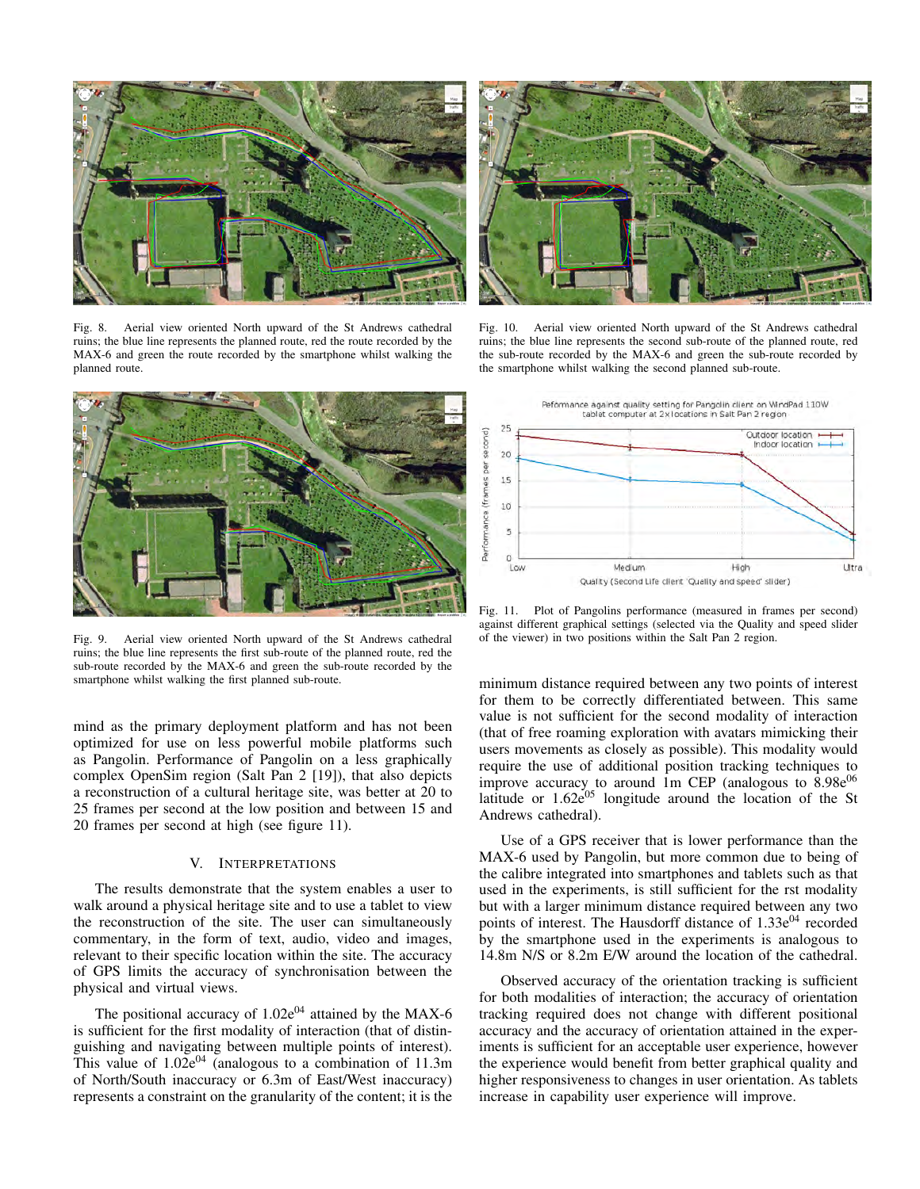

Fig. 8. Aerial view oriented North upward of the St Andrews cathedral ruins; the blue line represents the planned route, red the route recorded by the MAX-6 and green the route recorded by the smartphone whilst walking the planned route.



Fig. 9. Aerial view oriented North upward of the St Andrews cathedral ruins; the blue line represents the first sub-route of the planned route, red the sub-route recorded by the MAX-6 and green the sub-route recorded by the smartphone whilst walking the first planned sub-route.

mind as the primary deployment platform and has not been optimized for use on less powerful mobile platforms such as Pangolin. Performance of Pangolin on a less graphically complex OpenSim region (Salt Pan 2 [19]), that also depicts a reconstruction of a cultural heritage site, was better at 20 to 25 frames per second at the low position and between 15 and 20 frames per second at high (see figure 11).

#### V. INTERPRETATIONS

The results demonstrate that the system enables a user to walk around a physical heritage site and to use a tablet to view the reconstruction of the site. The user can simultaneously commentary, in the form of text, audio, video and images, relevant to their specific location within the site. The accuracy of GPS limits the accuracy of synchronisation between the physical and virtual views.

The positional accuracy of  $1.02e^{04}$  attained by the MAX-6 is sufficient for the first modality of interaction (that of distinguishing and navigating between multiple points of interest). This value of  $1.02e^{04}$  (analogous to a combination of 11.3m of North/South inaccuracy or 6.3m of East/West inaccuracy) represents a constraint on the granularity of the content; it is the



Fig. 10. Aerial view oriented North upward of the St Andrews cathedral ruins; the blue line represents the second sub-route of the planned route, red the sub-route recorded by the MAX-6 and green the sub-route recorded by the smartphone whilst walking the second planned sub-route.



Fig. 11. Plot of Pangolins performance (measured in frames per second) against different graphical settings (selected via the Quality and speed slider of the viewer) in two positions within the Salt Pan 2 region.

minimum distance required between any two points of interest for them to be correctly differentiated between. This same value is not sufficient for the second modality of interaction (that of free roaming exploration with avatars mimicking their users movements as closely as possible). This modality would require the use of additional position tracking techniques to improve accuracy to around 1m CEP (analogous to  $8.98e^{06}$ latitude or  $1.62e^{0.5}$  longitude around the location of the St Andrews cathedral).

Use of a GPS receiver that is lower performance than the MAX-6 used by Pangolin, but more common due to being of the calibre integrated into smartphones and tablets such as that used in the experiments, is still sufficient for the rst modality but with a larger minimum distance required between any two points of interest. The Hausdorff distance of  $1.33e^{04}$  recorded by the smartphone used in the experiments is analogous to 14.8m N/S or 8.2m E/W around the location of the cathedral.

Observed accuracy of the orientation tracking is sufficient for both modalities of interaction; the accuracy of orientation tracking required does not change with different positional accuracy and the accuracy of orientation attained in the experiments is sufficient for an acceptable user experience, however the experience would benefit from better graphical quality and higher responsiveness to changes in user orientation. As tablets increase in capability user experience will improve.